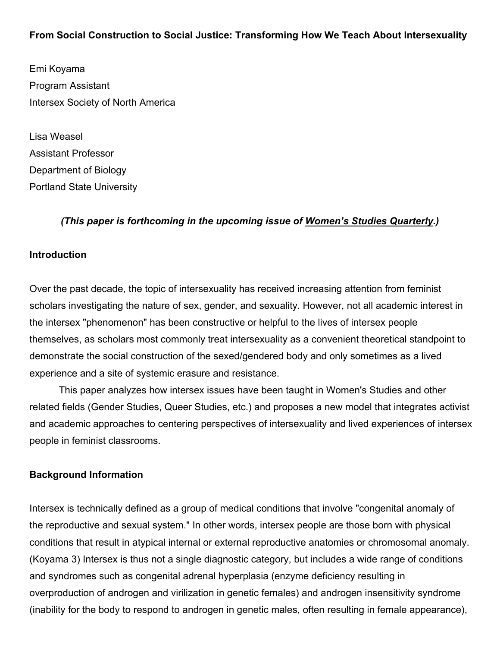# **From Social Construction to Social Justice: Transforming How We Teach About Intersexuality**

Emi Koyama Program Assistant Intersex Society of North America

Lisa Weasel Assistant Professor Department of Biology Portland State University

# *(This paper is forthcoming in the upcoming issue of Women's Studies Quarterly.)*

# **Introduction**

Over the past decade, the topic of intersexuality has received increasing attention from feminist scholars investigating the nature of sex, gender, and sexuality. However, not all academic interest in the intersex "phenomenon" has been constructive or helpful to the lives of intersex people themselves, as scholars most commonly treat intersexuality as a convenient theoretical standpoint to demonstrate the social construction of the sexed/gendered body and only sometimes as a lived experience and a site of systemic erasure and resistance.

This paper analyzes how intersex issues have been taught in Women's Studies and other related fields (Gender Studies, Queer Studies, etc.) and proposes a new model that integrates activist and academic approaches to centering perspectives of intersexuality and lived experiences of intersex people in feminist classrooms.

# **Background Information**

Intersex is technically defined as a group of medical conditions that involve "congenital anomaly of the reproductive and sexual system." In other words, intersex people are those born with physical conditions that result in atypical internal or external reproductive anatomies or chromosomal anomaly. (Koyama 3) Intersex is thus not a single diagnostic category, but includes a wide range of conditions and syndromes such as congenital adrenal hyperplasia (enzyme deficiency resulting in overproduction of androgen and virilization in genetic females) and androgen insensitivity syndrome (inability for the body to respond to androgen in genetic males, often resulting in female appearance),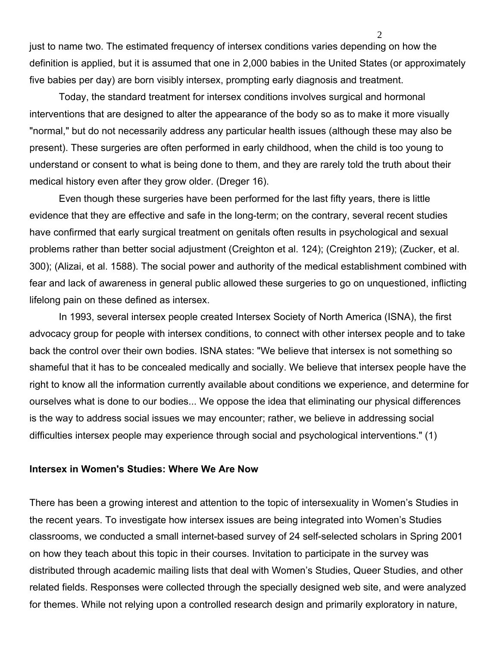just to name two. The estimated frequency of intersex conditions varies depending on how the definition is applied, but it is assumed that one in 2,000 babies in the United States (or approximately five babies per day) are born visibly intersex, prompting early diagnosis and treatment.

Today, the standard treatment for intersex conditions involves surgical and hormonal interventions that are designed to alter the appearance of the body so as to make it more visually "normal," but do not necessarily address any particular health issues (although these may also be present). These surgeries are often performed in early childhood, when the child is too young to understand or consent to what is being done to them, and they are rarely told the truth about their medical history even after they grow older. (Dreger 16).

Even though these surgeries have been performed for the last fifty years, there is little evidence that they are effective and safe in the long-term; on the contrary, several recent studies have confirmed that early surgical treatment on genitals often results in psychological and sexual problems rather than better social adjustment (Creighton et al. 124); (Creighton 219); (Zucker, et al. 300); (Alizai, et al. 1588). The social power and authority of the medical establishment combined with fear and lack of awareness in general public allowed these surgeries to go on unquestioned, inflicting lifelong pain on these defined as intersex.

In 1993, several intersex people created Intersex Society of North America (ISNA), the first advocacy group for people with intersex conditions, to connect with other intersex people and to take back the control over their own bodies. ISNA states: "We believe that intersex is not something so shameful that it has to be concealed medically and socially. We believe that intersex people have the right to know all the information currently available about conditions we experience, and determine for ourselves what is done to our bodies... We oppose the idea that eliminating our physical differences is the way to address social issues we may encounter; rather, we believe in addressing social difficulties intersex people may experience through social and psychological interventions." (1)

#### **Intersex in Women's Studies: Where We Are Now**

There has been a growing interest and attention to the topic of intersexuality in Women's Studies in the recent years. To investigate how intersex issues are being integrated into Women's Studies classrooms, we conducted a small internet-based survey of 24 self-selected scholars in Spring 2001 on how they teach about this topic in their courses. Invitation to participate in the survey was distributed through academic mailing lists that deal with Women's Studies, Queer Studies, and other related fields. Responses were collected through the specially designed web site, and were analyzed for themes. While not relying upon a controlled research design and primarily exploratory in nature,

 $\mathcal{D}_{\mathcal{L}}$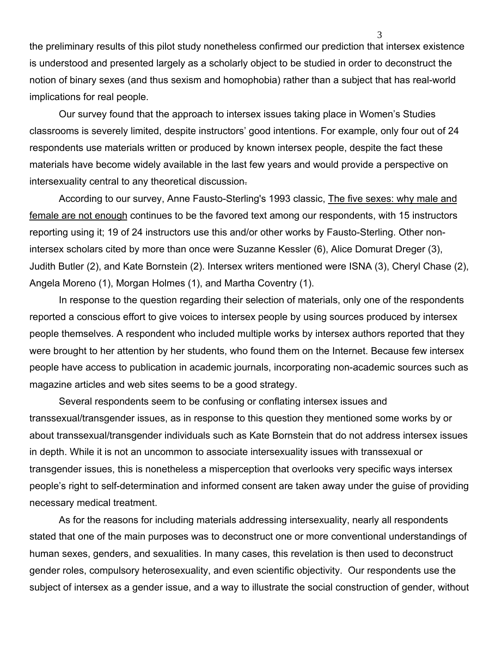the preliminary results of this pilot study nonetheless confirmed our prediction that intersex existence is understood and presented largely as a scholarly object to be studied in order to deconstruct the notion of binary sexes (and thus sexism and homophobia) rather than a subject that has real-world implications for real people.

Our survey found that the approach to intersex issues taking place in Women's Studies classrooms is severely limited, despite instructors' good intentions. For example, only four out of 24 respondents use materials written or produced by known intersex people, despite the fact these materials have become widely available in the last few years and would provide a perspective on intersexuality central to any theoretical discussion.

According to our survey, Anne Fausto-Sterling's 1993 classic, The five sexes: why male and female are not enough continues to be the favored text among our respondents, with 15 instructors reporting using it; 19 of 24 instructors use this and/or other works by Fausto-Sterling. Other nonintersex scholars cited by more than once were Suzanne Kessler (6), Alice Domurat Dreger (3), Judith Butler (2), and Kate Bornstein (2). Intersex writers mentioned were ISNA (3), Cheryl Chase (2), Angela Moreno (1), Morgan Holmes (1), and Martha Coventry (1).

In response to the question regarding their selection of materials, only one of the respondents reported a conscious effort to give voices to intersex people by using sources produced by intersex people themselves. A respondent who included multiple works by intersex authors reported that they were brought to her attention by her students, who found them on the Internet. Because few intersex people have access to publication in academic journals, incorporating non-academic sources such as magazine articles and web sites seems to be a good strategy.

Several respondents seem to be confusing or conflating intersex issues and transsexual/transgender issues, as in response to this question they mentioned some works by or about transsexual/transgender individuals such as Kate Bornstein that do not address intersex issues in depth. While it is not an uncommon to associate intersexuality issues with transsexual or transgender issues, this is nonetheless a misperception that overlooks very specific ways intersex people's right to self-determination and informed consent are taken away under the guise of providing necessary medical treatment.

As for the reasons for including materials addressing intersexuality, nearly all respondents stated that one of the main purposes was to deconstruct one or more conventional understandings of human sexes, genders, and sexualities. In many cases, this revelation is then used to deconstruct gender roles, compulsory heterosexuality, and even scientific objectivity. Our respondents use the subject of intersex as a gender issue, and a way to illustrate the social construction of gender, without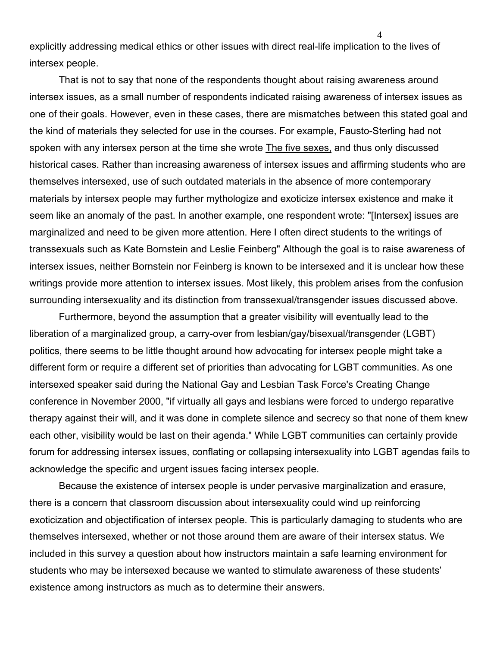explicitly addressing medical ethics or other issues with direct real-life implication to the lives of intersex people.

That is not to say that none of the respondents thought about raising awareness around intersex issues, as a small number of respondents indicated raising awareness of intersex issues as one of their goals. However, even in these cases, there are mismatches between this stated goal and the kind of materials they selected for use in the courses. For example, Fausto-Sterling had not spoken with any intersex person at the time she wrote The five sexes, and thus only discussed historical cases. Rather than increasing awareness of intersex issues and affirming students who are themselves intersexed, use of such outdated materials in the absence of more contemporary materials by intersex people may further mythologize and exoticize intersex existence and make it seem like an anomaly of the past. In another example, one respondent wrote: "[Intersex] issues are marginalized and need to be given more attention. Here I often direct students to the writings of transsexuals such as Kate Bornstein and Leslie Feinberg" Although the goal is to raise awareness of intersex issues, neither Bornstein nor Feinberg is known to be intersexed and it is unclear how these writings provide more attention to intersex issues. Most likely, this problem arises from the confusion surrounding intersexuality and its distinction from transsexual/transgender issues discussed above.

Furthermore, beyond the assumption that a greater visibility will eventually lead to the liberation of a marginalized group, a carry-over from lesbian/gay/bisexual/transgender (LGBT) politics, there seems to be little thought around how advocating for intersex people might take a different form or require a different set of priorities than advocating for LGBT communities. As one intersexed speaker said during the National Gay and Lesbian Task Force's Creating Change conference in November 2000, "if virtually all gays and lesbians were forced to undergo reparative therapy against their will, and it was done in complete silence and secrecy so that none of them knew each other, visibility would be last on their agenda." While LGBT communities can certainly provide forum for addressing intersex issues, conflating or collapsing intersexuality into LGBT agendas fails to acknowledge the specific and urgent issues facing intersex people.

Because the existence of intersex people is under pervasive marginalization and erasure, there is a concern that classroom discussion about intersexuality could wind up reinforcing exoticization and objectification of intersex people. This is particularly damaging to students who are themselves intersexed, whether or not those around them are aware of their intersex status. We included in this survey a question about how instructors maintain a safe learning environment for students who may be intersexed because we wanted to stimulate awareness of these students' existence among instructors as much as to determine their answers.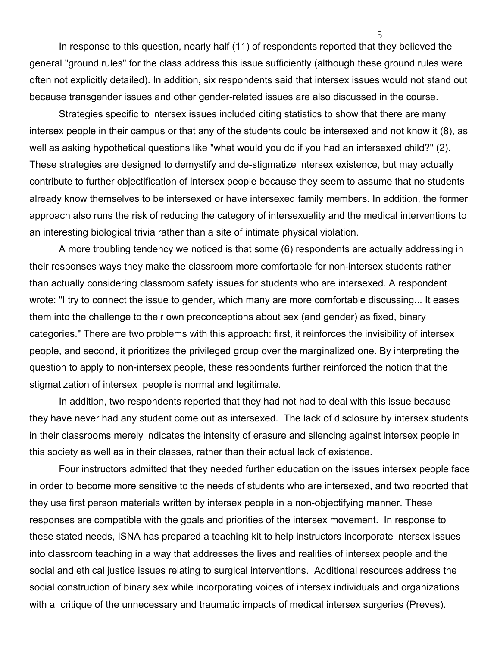In response to this question, nearly half (11) of respondents reported that they believed the general "ground rules" for the class address this issue sufficiently (although these ground rules were often not explicitly detailed). In addition, six respondents said that intersex issues would not stand out because transgender issues and other gender-related issues are also discussed in the course.

Strategies specific to intersex issues included citing statistics to show that there are many intersex people in their campus or that any of the students could be intersexed and not know it (8), as well as asking hypothetical questions like "what would you do if you had an intersexed child?" (2). These strategies are designed to demystify and de-stigmatize intersex existence, but may actually contribute to further objectification of intersex people because they seem to assume that no students already know themselves to be intersexed or have intersexed family members. In addition, the former approach also runs the risk of reducing the category of intersexuality and the medical interventions to an interesting biological trivia rather than a site of intimate physical violation.

A more troubling tendency we noticed is that some (6) respondents are actually addressing in their responses ways they make the classroom more comfortable for non-intersex students rather than actually considering classroom safety issues for students who are intersexed. A respondent wrote: "I try to connect the issue to gender, which many are more comfortable discussing... It eases them into the challenge to their own preconceptions about sex (and gender) as fixed, binary categories." There are two problems with this approach: first, it reinforces the invisibility of intersex people, and second, it prioritizes the privileged group over the marginalized one. By interpreting the question to apply to non-intersex people, these respondents further reinforced the notion that the stigmatization of intersex people is normal and legitimate.

In addition, two respondents reported that they had not had to deal with this issue because they have never had any student come out as intersexed. The lack of disclosure by intersex students in their classrooms merely indicates the intensity of erasure and silencing against intersex people in this society as well as in their classes, rather than their actual lack of existence.

Four instructors admitted that they needed further education on the issues intersex people face in order to become more sensitive to the needs of students who are intersexed, and two reported that they use first person materials written by intersex people in a non-objectifying manner. These responses are compatible with the goals and priorities of the intersex movement. In response to these stated needs, ISNA has prepared a teaching kit to help instructors incorporate intersex issues into classroom teaching in a way that addresses the lives and realities of intersex people and the social and ethical justice issues relating to surgical interventions. Additional resources address the social construction of binary sex while incorporating voices of intersex individuals and organizations with a critique of the unnecessary and traumatic impacts of medical intersex surgeries (Preves).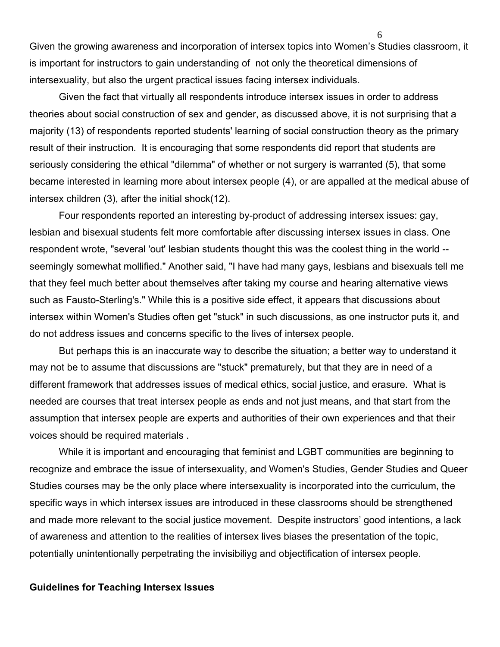Given the growing awareness and incorporation of intersex topics into Women's Studies classroom, it is important for instructors to gain understanding of not only the theoretical dimensions of intersexuality, but also the urgent practical issues facing intersex individuals.

Given the fact that virtually all respondents introduce intersex issues in order to address theories about social construction of sex and gender, as discussed above, it is not surprising that a majority (13) of respondents reported students' learning of social construction theory as the primary result of their instruction. It is encouraging that some respondents did report that students are seriously considering the ethical "dilemma" of whether or not surgery is warranted (5), that some became interested in learning more about intersex people (4), or are appalled at the medical abuse of intersex children (3), after the initial shock(12).

Four respondents reported an interesting by-product of addressing intersex issues: gay, lesbian and bisexual students felt more comfortable after discussing intersex issues in class. One respondent wrote, "several 'out' lesbian students thought this was the coolest thing in the world - seemingly somewhat mollified." Another said, "I have had many gays, lesbians and bisexuals tell me that they feel much better about themselves after taking my course and hearing alternative views such as Fausto-Sterling's." While this is a positive side effect, it appears that discussions about intersex within Women's Studies often get "stuck" in such discussions, as one instructor puts it, and do not address issues and concerns specific to the lives of intersex people.

But perhaps this is an inaccurate way to describe the situation; a better way to understand it may not be to assume that discussions are "stuck" prematurely, but that they are in need of a different framework that addresses issues of medical ethics, social justice, and erasure. What is needed are courses that treat intersex people as ends and not just means, and that start from the assumption that intersex people are experts and authorities of their own experiences and that their voices should be required materials .

While it is important and encouraging that feminist and LGBT communities are beginning to recognize and embrace the issue of intersexuality, and Women's Studies, Gender Studies and Queer Studies courses may be the only place where intersexuality is incorporated into the curriculum, the specific ways in which intersex issues are introduced in these classrooms should be strengthened and made more relevant to the social justice movement. Despite instructors' good intentions, a lack of awareness and attention to the realities of intersex lives biases the presentation of the topic, potentially unintentionally perpetrating the invisibiliyg and objectification of intersex people.

#### **Guidelines for Teaching Intersex Issues**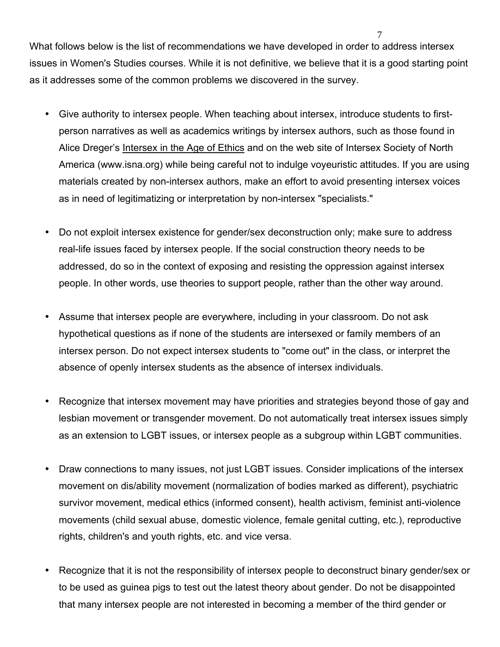What follows below is the list of recommendations we have developed in order to address intersex issues in Women's Studies courses. While it is not definitive, we believe that it is a good starting point as it addresses some of the common problems we discovered in the survey.

- Give authority to intersex people. When teaching about intersex, introduce students to firstperson narratives as well as academics writings by intersex authors, such as those found in Alice Dreger's Intersex in the Age of Ethics and on the web site of Intersex Society of North America (www.isna.org) while being careful not to indulge voyeuristic attitudes. If you are using materials created by non-intersex authors, make an effort to avoid presenting intersex voices as in need of legitimatizing or interpretation by non-intersex "specialists."
- Do not exploit intersex existence for gender/sex deconstruction only; make sure to address real-life issues faced by intersex people. If the social construction theory needs to be addressed, do so in the context of exposing and resisting the oppression against intersex people. In other words, use theories to support people, rather than the other way around.
- Assume that intersex people are everywhere, including in your classroom. Do not ask hypothetical questions as if none of the students are intersexed or family members of an intersex person. Do not expect intersex students to "come out" in the class, or interpret the absence of openly intersex students as the absence of intersex individuals.
- Recognize that intersex movement may have priorities and strategies beyond those of gay and lesbian movement or transgender movement. Do not automatically treat intersex issues simply as an extension to LGBT issues, or intersex people as a subgroup within LGBT communities.
- Draw connections to many issues, not just LGBT issues. Consider implications of the intersex movement on dis/ability movement (normalization of bodies marked as different), psychiatric survivor movement, medical ethics (informed consent), health activism, feminist anti-violence movements (child sexual abuse, domestic violence, female genital cutting, etc.), reproductive rights, children's and youth rights, etc. and vice versa.
- Recognize that it is not the responsibility of intersex people to deconstruct binary gender/sex or to be used as guinea pigs to test out the latest theory about gender. Do not be disappointed that many intersex people are not interested in becoming a member of the third gender or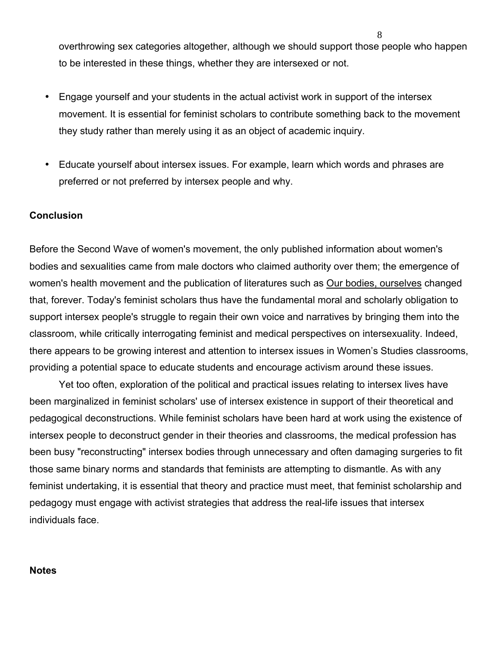overthrowing sex categories altogether, although we should support those people who happen to be interested in these things, whether they are intersexed or not.

8

- Engage yourself and your students in the actual activist work in support of the intersex movement. It is essential for feminist scholars to contribute something back to the movement they study rather than merely using it as an object of academic inquiry.
- Educate yourself about intersex issues. For example, learn which words and phrases are preferred or not preferred by intersex people and why.

### **Conclusion**

Before the Second Wave of women's movement, the only published information about women's bodies and sexualities came from male doctors who claimed authority over them; the emergence of women's health movement and the publication of literatures such as Our bodies, ourselves changed that, forever. Today's feminist scholars thus have the fundamental moral and scholarly obligation to support intersex people's struggle to regain their own voice and narratives by bringing them into the classroom, while critically interrogating feminist and medical perspectives on intersexuality. Indeed, there appears to be growing interest and attention to intersex issues in Women's Studies classrooms, providing a potential space to educate students and encourage activism around these issues.

Yet too often, exploration of the political and practical issues relating to intersex lives have been marginalized in feminist scholars' use of intersex existence in support of their theoretical and pedagogical deconstructions. While feminist scholars have been hard at work using the existence of intersex people to deconstruct gender in their theories and classrooms, the medical profession has been busy "reconstructing" intersex bodies through unnecessary and often damaging surgeries to fit those same binary norms and standards that feminists are attempting to dismantle. As with any feminist undertaking, it is essential that theory and practice must meet, that feminist scholarship and pedagogy must engage with activist strategies that address the real-life issues that intersex individuals face.

#### **Notes**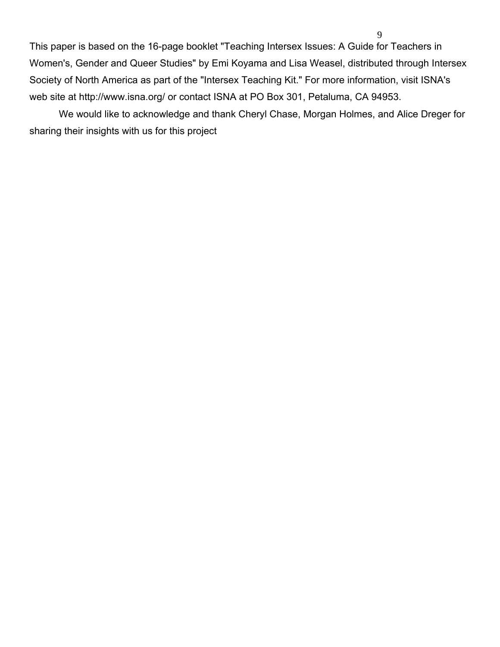This paper is based on the 16-page booklet "Teaching Intersex Issues: A Guide for Teachers in Women's, Gender and Queer Studies" by Emi Koyama and Lisa Weasel, distributed through Intersex Society of North America as part of the "Intersex Teaching Kit." For more information, visit ISNA's web site at http://www.isna.org/ or contact ISNA at PO Box 301, Petaluma, CA 94953.

We would like to acknowledge and thank Cheryl Chase, Morgan Holmes, and Alice Dreger for sharing their insights with us for this project